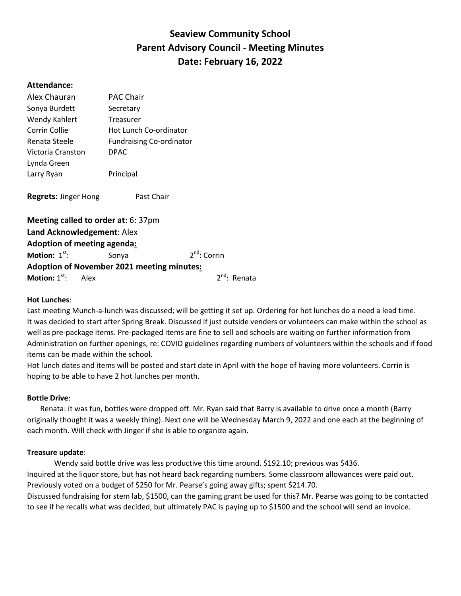# Seaview Community School Parent Advisory Council - Meeting Minutes Date: February 16, 2022

# Attendance:

| Alex Chauran                               | <b>PAC Chair</b>                |                   |
|--------------------------------------------|---------------------------------|-------------------|
| Sonya Burdett                              | Secretary                       |                   |
| Wendy Kahlert                              | Treasurer                       |                   |
| Corrin Collie                              | Hot Lunch Co-ordinator          |                   |
| Renata Steele                              | <b>Fundraising Co-ordinator</b> |                   |
| Victoria Cranston                          | <b>DPAC</b>                     |                   |
| Lynda Green                                |                                 |                   |
| Larry Ryan                                 | Principal                       |                   |
|                                            |                                 |                   |
| <b>Regrets:</b> Jinger Hong                | Past Chair                      |                   |
|                                            |                                 |                   |
| Meeting called to order at: 6: 37pm        |                                 |                   |
| Land Acknowledgement: Alex                 |                                 |                   |
| Adoption of meeting agenda:                |                                 |                   |
| Motion: $1st$ :                            |                                 | $2^{nd}$ : Corrin |
|                                            | Sonya                           |                   |
| Adoption of November 2021 meeting minutes: |                                 |                   |
| Motion: $1st$ :<br>Alex                    |                                 | $2^{nd}$ : Renata |

#### Hot Lunches:

Last meeting Munch-a-lunch was discussed; will be getting it set up. Ordering for hot lunches do a need a lead time. It was decided to start after Spring Break. Discussed if just outside venders or volunteers can make within the school as well as pre-package items. Pre-packaged items are fine to sell and schools are waiting on further information from Administration on further openings, re: COVID guidelines regarding numbers of volunteers within the schools and if food items can be made within the school.

Hot lunch dates and items will be posted and start date in April with the hope of having more volunteers. Corrin is hoping to be able to have 2 hot lunches per month.

#### Bottle Drive:

 Renata: it was fun, bottles were dropped off. Mr. Ryan said that Barry is available to drive once a month (Barry originally thought it was a weekly thing). Next one will be Wednesday March 9, 2022 and one each at the beginning of each month. Will check with Jinger if she is able to organize again.

#### Treasure update:

 Wendy said bottle drive was less productive this time around. \$192.10; previous was \$436. Inquired at the liquor store, but has not heard back regarding numbers. Some classroom allowances were paid out. Previously voted on a budget of \$250 for Mr. Pearse's going away gifts; spent \$214.70.

Discussed fundraising for stem lab, \$1500, can the gaming grant be used for this? Mr. Pearse was going to be contacted to see if he recalls what was decided, but ultimately PAC is paying up to \$1500 and the school will send an invoice.